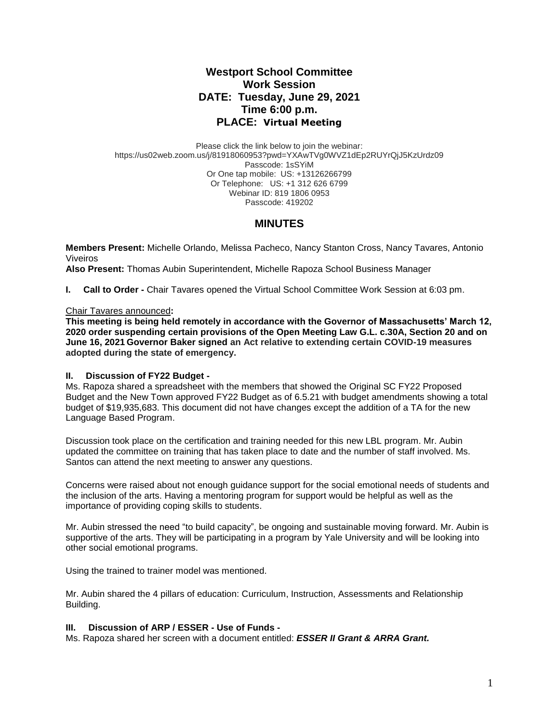# **Westport School Committee Work Session DATE: Tuesday, June 29, 2021 Time 6:00 p.m. PLACE: Virtual Meeting**

Please click the link below to join the webinar: https://us02web.zoom.us/j/81918060953?pwd=YXAwTVg0WVZ1dEp2RUYrQjJ5KzUrdz09 Passcode: 1sSYiM Or One tap mobile: US: +13126266799 Or Telephone: US: +1 312 626 6799 Webinar ID: 819 1806 0953 Passcode: 419202

## **MINUTES**

**Members Present:** Michelle Orlando, Melissa Pacheco, Nancy Stanton Cross, Nancy Tavares, Antonio Viveiros

**Also Present:** Thomas Aubin Superintendent, Michelle Rapoza School Business Manager

**I. Call to Order -** Chair Tavares opened the Virtual School Committee Work Session at 6:03 pm.

#### Chair Tavares announced**:**

**This meeting is being held remotely in accordance with the Governor of Massachusetts' March 12, 2020 order suspending certain provisions of the Open Meeting Law G.L. c.30A, Section 20 and on June 16, 2021 Governor Baker signed an Act relative to extending certain COVID-19 measures adopted during the state of emergency.**

## **II. Discussion of FY22 Budget -**

Ms. Rapoza shared a spreadsheet with the members that showed the Original SC FY22 Proposed Budget and the New Town approved FY22 Budget as of 6.5.21 with budget amendments showing a total budget of \$19,935,683. This document did not have changes except the addition of a TA for the new Language Based Program.

Discussion took place on the certification and training needed for this new LBL program. Mr. Aubin updated the committee on training that has taken place to date and the number of staff involved. Ms. Santos can attend the next meeting to answer any questions.

Concerns were raised about not enough guidance support for the social emotional needs of students and the inclusion of the arts. Having a mentoring program for support would be helpful as well as the importance of providing coping skills to students.

Mr. Aubin stressed the need "to build capacity", be ongoing and sustainable moving forward. Mr. Aubin is supportive of the arts. They will be participating in a program by Yale University and will be looking into other social emotional programs.

Using the trained to trainer model was mentioned.

Mr. Aubin shared the 4 pillars of education: Curriculum, Instruction, Assessments and Relationship Building.

## **III. Discussion of ARP / ESSER - Use of Funds -**

Ms. Rapoza shared her screen with a document entitled: *ESSER II Grant & ARRA Grant.*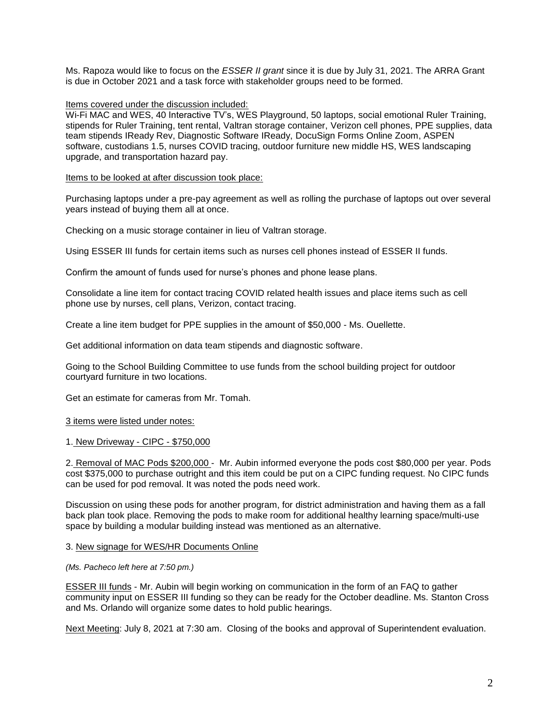Ms. Rapoza would like to focus on the *ESSER II grant* since it is due by July 31, 2021. The ARRA Grant is due in October 2021 and a task force with stakeholder groups need to be formed.

#### Items covered under the discussion included:

Wi-Fi MAC and WES, 40 Interactive TV's, WES Playground, 50 laptops, social emotional Ruler Training, stipends for Ruler Training, tent rental, Valtran storage container, Verizon cell phones, PPE supplies, data team stipends IReady Rev, Diagnostic Software IReady, DocuSign Forms Online Zoom, ASPEN software, custodians 1.5, nurses COVID tracing, outdoor furniture new middle HS, WES landscaping upgrade, and transportation hazard pay.

#### Items to be looked at after discussion took place:

Purchasing laptops under a pre-pay agreement as well as rolling the purchase of laptops out over several years instead of buying them all at once.

Checking on a music storage container in lieu of Valtran storage.

Using ESSER III funds for certain items such as nurses cell phones instead of ESSER II funds.

Confirm the amount of funds used for nurse's phones and phone lease plans.

Consolidate a line item for contact tracing COVID related health issues and place items such as cell phone use by nurses, cell plans, Verizon, contact tracing.

Create a line item budget for PPE supplies in the amount of \$50,000 - Ms. Ouellette.

Get additional information on data team stipends and diagnostic software.

Going to the School Building Committee to use funds from the school building project for outdoor courtyard furniture in two locations.

Get an estimate for cameras from Mr. Tomah.

#### 3 items were listed under notes:

1. New Driveway - CIPC - \$750,000

2. Removal of MAC Pods \$200,000 - Mr. Aubin informed everyone the pods cost \$80,000 per year. Pods cost \$375,000 to purchase outright and this item could be put on a CIPC funding request. No CIPC funds can be used for pod removal. It was noted the pods need work.

Discussion on using these pods for another program, for district administration and having them as a fall back plan took place. Removing the pods to make room for additional healthy learning space/multi-use space by building a modular building instead was mentioned as an alternative.

#### 3. New signage for WES/HR Documents Online

#### *(Ms. Pacheco left here at 7:50 pm.)*

ESSER III funds - Mr. Aubin will begin working on communication in the form of an FAQ to gather community input on ESSER III funding so they can be ready for the October deadline. Ms. Stanton Cross and Ms. Orlando will organize some dates to hold public hearings.

Next Meeting: July 8, 2021 at 7:30 am. Closing of the books and approval of Superintendent evaluation.